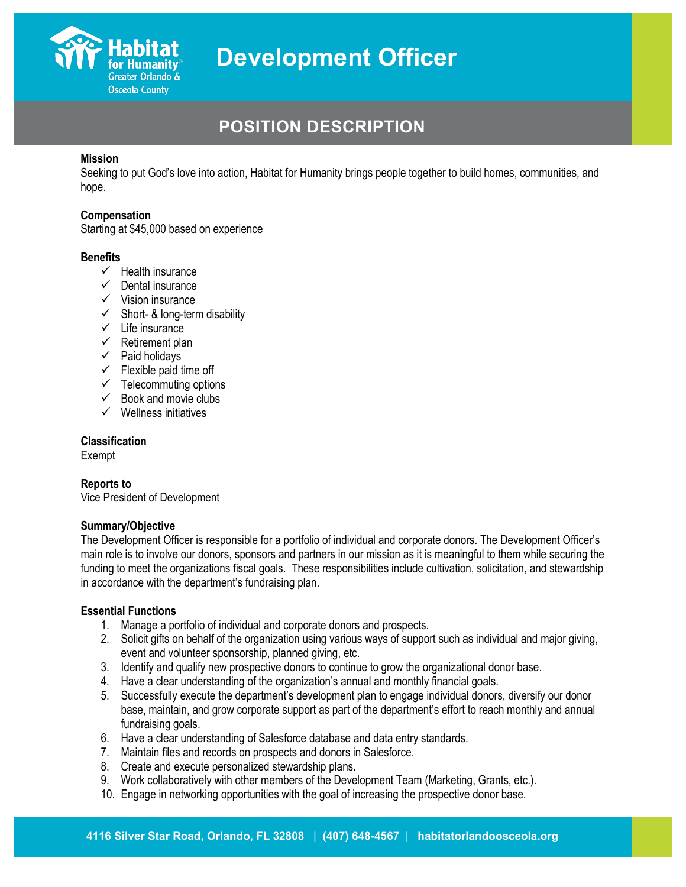

# **POSITION DESCRIPTION**

#### **Mission**

Seeking to put God's love into action, Habitat for Humanity brings people together to build homes, communities, and hope.

#### **Compensation**

Starting at \$45,000 based on experience

#### **Benefits**

- $\checkmark$  Health insurance
- $\checkmark$  Dental insurance
- $\checkmark$  Vision insurance
- $\checkmark$  Short- & long-term disability
- $\checkmark$  Life insurance
- $\checkmark$  Retirement plan
- $\checkmark$  Paid holidays
- $\checkmark$  Flexible paid time off
- $\checkmark$  Telecommuting options
- $\checkmark$  Book and movie clubs
- $\checkmark$  Wellness initiatives

#### **Classification**

Exempt

## **Reports to**

Vice President of Development

## **Summary/Objective**

The Development Officer is responsible for a portfolio of individual and corporate donors. The Development Officer's main role is to involve our donors, sponsors and partners in our mission as it is meaningful to them while securing the funding to meet the organizations fiscal goals. These responsibilities include cultivation, solicitation, and stewardship in accordance with the department's fundraising plan.

## **Essential Functions**

- 1. Manage a portfolio of individual and corporate donors and prospects.
- 2. Solicit gifts on behalf of the organization using various ways of support such as individual and major giving, event and volunteer sponsorship, planned giving, etc.
- 3. Identify and qualify new prospective donors to continue to grow the organizational donor base.
- 4. Have a clear understanding of the organization's annual and monthly financial goals.
- 5. Successfully execute the department's development plan to engage individual donors, diversify our donor base, maintain, and grow corporate support as part of the department's effort to reach monthly and annual fundraising goals.
- 6. Have a clear understanding of Salesforce database and data entry standards.
- 7. Maintain files and records on prospects and donors in Salesforce.
- 8. Create and execute personalized stewardship plans.
- 9. Work collaboratively with other members of the Development Team (Marketing, Grants, etc.).
- 10. Engage in networking opportunities with the goal of increasing the prospective donor base.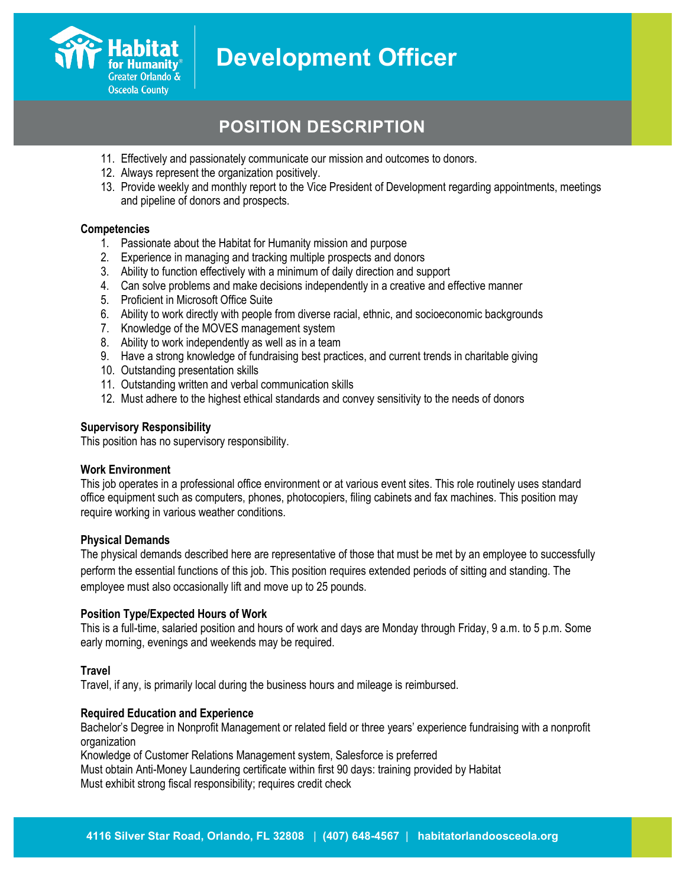

# **POSITION DESCRIPTION**

- 11. Effectively and passionately communicate our mission and outcomes to donors.
- 12. Always represent the organization positively.
- 13. Provide weekly and monthly report to the Vice President of Development regarding appointments, meetings and pipeline of donors and prospects.

#### **Competencies**

- 1. Passionate about the Habitat for Humanity mission and purpose
- 2. Experience in managing and tracking multiple prospects and donors
- 3. Ability to function effectively with a minimum of daily direction and support
- 4. Can solve problems and make decisions independently in a creative and effective manner
- 5. Proficient in Microsoft Office Suite
- 6. Ability to work directly with people from diverse racial, ethnic, and socioeconomic backgrounds
- 7. Knowledge of the MOVES management system
- 8. Ability to work independently as well as in a team
- 9. Have a strong knowledge of fundraising best practices, and current trends in charitable giving
- 10. Outstanding presentation skills
- 11. Outstanding written and verbal communication skills
- 12. Must adhere to the highest ethical standards and convey sensitivity to the needs of donors

#### **Supervisory Responsibility**

This position has no supervisory responsibility.

#### **Work Environment**

This job operates in a professional office environment or at various event sites. This role routinely uses standard office equipment such as computers, phones, photocopiers, filing cabinets and fax machines. This position may require working in various weather conditions.

#### **Physical Demands**

The physical demands described here are representative of those that must be met by an employee to successfully perform the essential functions of this job. This position requires extended periods of sitting and standing. The employee must also occasionally lift and move up to 25 pounds.

## **Position Type/Expected Hours of Work**

This is a full-time, salaried position and hours of work and days are Monday through Friday, 9 a.m. to 5 p.m. Some early morning, evenings and weekends may be required.

## **Travel**

Travel, if any, is primarily local during the business hours and mileage is reimbursed.

## **Required Education and Experience**

Bachelor's Degree in Nonprofit Management or related field or three years' experience fundraising with a nonprofit organization

Knowledge of Customer Relations Management system, Salesforce is preferred Must obtain Anti-Money Laundering certificate within first 90 days: training provided by Habitat Must exhibit strong fiscal responsibility; requires credit check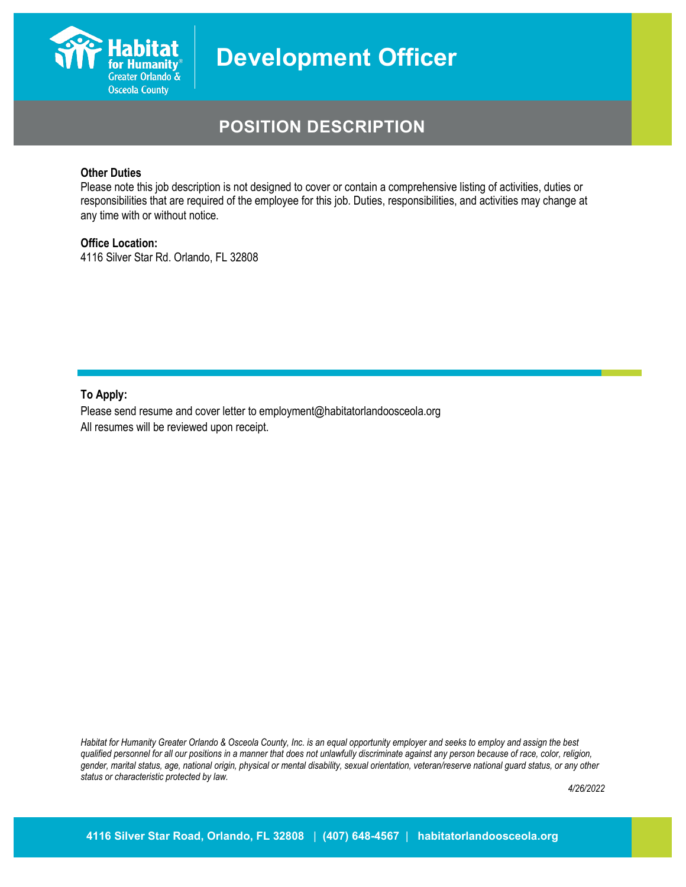

# **POSITION DESCRIPTION**

## **Other Duties**

Please note this job description is not designed to cover or contain a comprehensive listing of activities, duties or responsibilities that are required of the employee for this job. Duties, responsibilities, and activities may change at any time with or without notice.

#### **Office Location:**

4116 Silver Star Rd. Orlando, FL 32808

**To Apply:**

Please send resume and cover letter to employment@habitatorlandoosceola.org All resumes will be reviewed upon receipt.

*Habitat for Humanity Greater Orlando & Osceola County, Inc. is an equal opportunity employer and seeks to employ and assign the best qualified personnel for all our positions in a manner that does not unlawfully discriminate against any person because of race, color, religion, gender, marital status, age, national origin, physical or mental disability, sexual orientation, veteran/reserve national guard status, or any other status or characteristic protected by law.*

*4/26/2022*